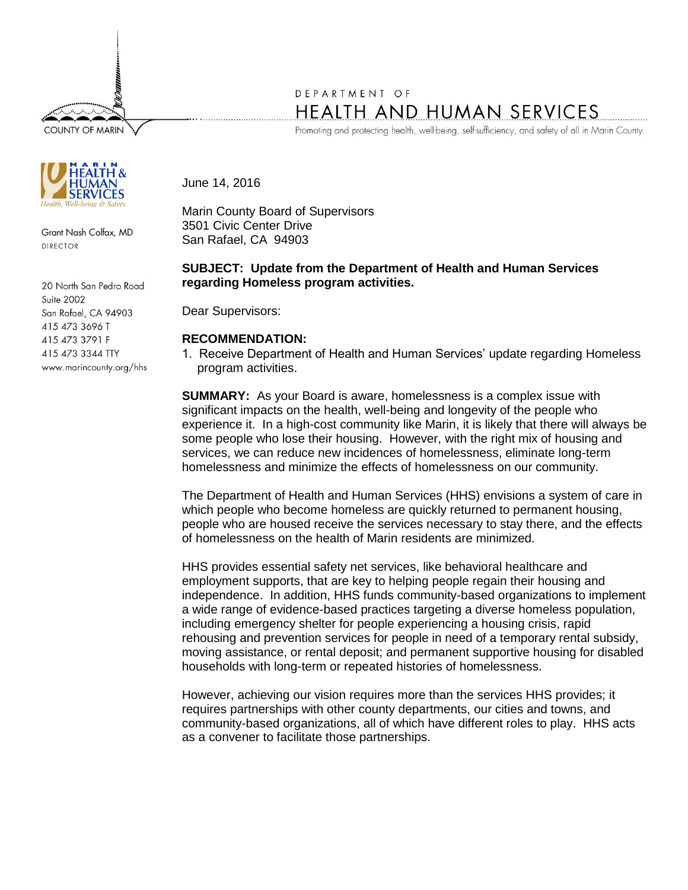**COUNTY OF MARIN** 



Grant Nash Colfax, MD DIRECTOR

20 North San Pedro Road Suite 2002 San Rafael, CA 94903 415 473 3696 T 415 473 3791 F 415 473 3344 TTY www.marincounty.org/hhs

## DEPARTMENT OF HEALTH AND HUMAN SERVICES

Promoting and protecting health, well-being, self-sufficiency, and safety of all in Marin County.

June 14, 2016

Marin County Board of Supervisors 3501 Civic Center Drive San Rafael, CA 94903

## **SUBJECT: Update from the Department of Health and Human Services regarding Homeless program activities.**

Dear Supervisors:

## **RECOMMENDATION:**

1. Receive Department of Health and Human Services' update regarding Homeless program activities.

**SUMMARY:** As your Board is aware, homelessness is a complex issue with significant impacts on the health, well-being and longevity of the people who experience it. In a high-cost community like Marin, it is likely that there will always be some people who lose their housing. However, with the right mix of housing and services, we can reduce new incidences of homelessness, eliminate long-term homelessness and minimize the effects of homelessness on our community.

The Department of Health and Human Services (HHS) envisions a system of care in which people who become homeless are quickly returned to permanent housing, people who are housed receive the services necessary to stay there, and the effects of homelessness on the health of Marin residents are minimized.

HHS provides essential safety net services, like behavioral healthcare and employment supports, that are key to helping people regain their housing and independence. In addition, HHS funds community-based organizations to implement a wide range of evidence-based practices targeting a diverse homeless population, including emergency shelter for people experiencing a housing crisis, rapid rehousing and prevention services for people in need of a temporary rental subsidy, moving assistance, or rental deposit; and permanent supportive housing for disabled households with long-term or repeated histories of homelessness.

However, achieving our vision requires more than the services HHS provides; it requires partnerships with other county departments, our cities and towns, and community-based organizations, all of which have different roles to play. HHS acts as a convener to facilitate those partnerships.